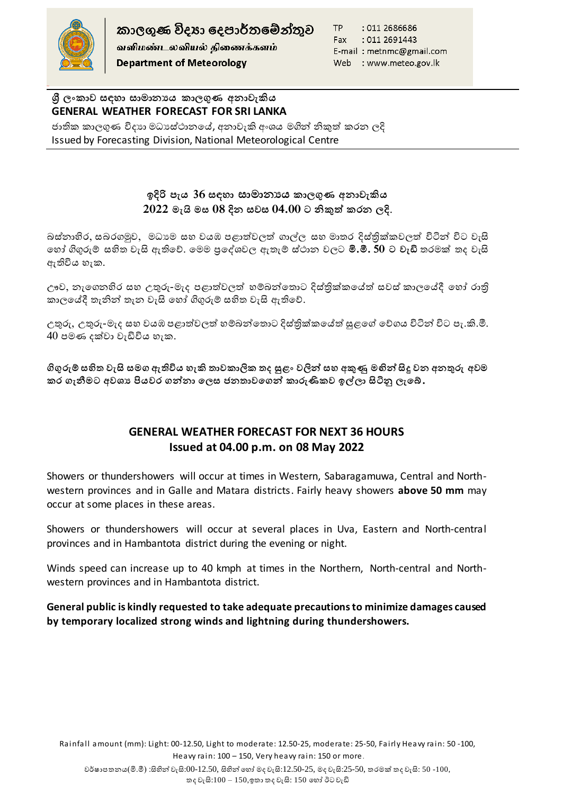

කාලගුණ විදහා දෙපාර්තමේන්තුව வளிமண்டலவியல் திணைக்களம் **Department of Meteorology** 

TP : 011 2686686 Fax: : 011 2691443 E-mail: metnmc@gmail.com Web : www.meteo.gov.lk

**ශ්රී ලංකාව සඳහා සාමාන්යය කාලගුණ අන්ාවැකිය GENERAL WEATHER FORECAST FOR SRI LANKA** 

ජාතික කාලගුණ විදාහ මධාස්ථානයේ, අනාවැකි අංශය මගින් නිකුත් කරන ලදි Issued by Forecasting Division, National Meteorological Centre

## **ඉදිරි පැය 36 සඳහා සාමාන්යය කාලගුණ අන්ාවැකිය 2022 මැයි මස 08 දින් සවස 04.00 ට නිකුත් කරන් ලදි**.

බස්නාහිර, සබරගමුව, මධාාම සහ වයඹ පළාත්වලත් ගාල්ල සහ මාතර දිස්තික්කවලත් විටින් විට වැසි හ ෝ ගිගුරුම් සහිත වැසි ඇතිහේ. හමම ප්රහශවවල ඇතැම් ස්ථාන වලට **මි.මී. 50 ට වැඩි** තරමක් තද වැසි ඇතිවිය හැක.

ඌව, නැගෙනහිර සහ උතුරු-මැද පළාත්වලත් හම්බන්තොට දිස්තික්කයේත් සවස් කාලයේදී හෝ රාති කාලයේදී තැනින් තැන වැසි හෝ ගිගුරුම් සහිත වැසි ඇතිවේ.

උතුරු, උතුරු-මැද සහ වයඹ පළාත්වලත් හම්බන්තොට දිස්තික්කයේත් සුළගේ වේගය විටින් විට පැ.කි.මී.  $40$  පමණ දක්වා වැඩිවිය හැක.

**ගිගුරුම් සහිත වැසි සමග ඇතිවිය හැකි තාවකාලික තද සුළං වලින් සහ අකුණු මඟින් සිදු වන් අන්තුරු අවම**  කර ගැනීමට අවශා පියවර ගන්නා ලෙස ජනතාවගෙන් කාරුණිකව ඉල්ලා සිටිනු ලැබේ.

## **GENERAL WEATHER FORECAST FOR NEXT 36 HOURS Issued at 04.00 p.m. on 08 May 2022**

Showers or thundershowers will occur at times in Western, Sabaragamuwa, Central and Northwestern provinces and in Galle and Matara districts. Fairly heavy showers **above 50 mm** may occur at some places in these areas.

Showers or thundershowers will occur at several places in Uva, Eastern and North-central provinces and in Hambantota district during the evening or night.

Winds speed can increase up to 40 kmph at times in the Northern, North-central and Northwestern provinces and in Hambantota district.

## **General public is kindly requested to take adequate precautions to minimize damages caused by temporary localized strong winds and lightning during thundershowers.**

Rainfall amount (mm): Light: 00-12.50, Light to moderate: 12.50-25, moderate: 25-50, Fairly Heavy rain: 50 -100, Heavy rain: 100 – 150, Very heavy rain: 150 or more .